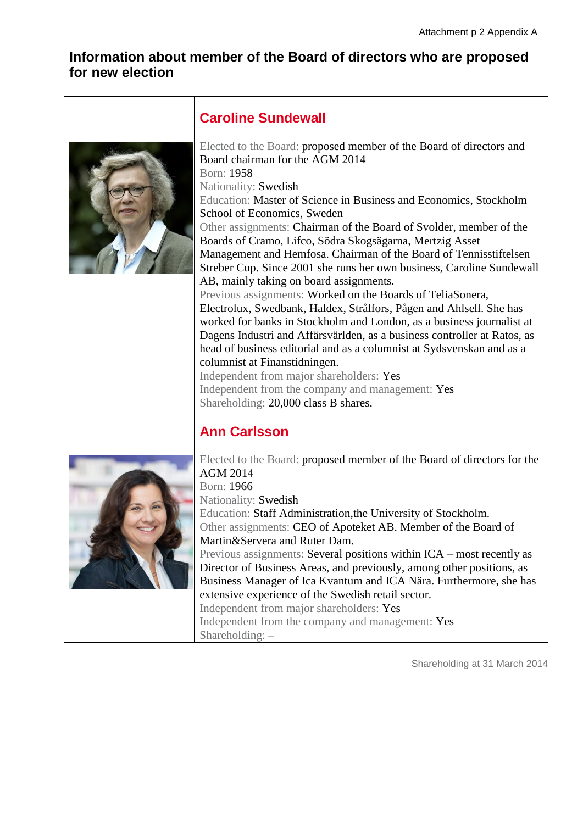## **Information about member of the Board of directors who are proposed for new election**



#### **Caroline Sundewall**

Elected to the Board: proposed member of the Board of directors and Board chairman for the AGM 2014 Born: 1958 Nationality: Swedish Education: Master of Science in Business and Economics, Stockholm School of Economics, Sweden Other assignments: Chairman of the Board of Svolder, member of the Boards of Cramo, Lifco, Södra Skogsägarna, Mertzig Asset Management and Hemfosa. Chairman of the Board of Tennisstiftelsen Streber Cup. Since 2001 she runs her own business, Caroline Sundewall AB, mainly taking on board assignments. Previous assignments: Worked on the Boards of TeliaSonera, Electrolux, Swedbank, Haldex, Strålfors, Pågen and Ahlsell. She has worked for banks in Stockholm and London, as a business journalist at Dagens Industri and Affärsvärlden, as a business controller at Ratos, as head of business editorial and as a columnist at Sydsvenskan and as a columnist at Finanstidningen. Independent from major shareholders: Yes Independent from the company and management: Yes Shareholding: 20,000 class B shares.

# **Ann Carlsson**



Elected to the Board: proposed member of the Board of directors for the AGM 2014 Born: 1966 Nationality: Swedish Education: Staff Administration,the University of Stockholm. Other assignments: CEO of Apoteket AB. Member of the Board of Martin&Servera and Ruter Dam. Previous assignments: Several positions within ICA – most recently as Director of Business Areas, and previously, among other positions, as Business Manager of Ica Kvantum and ICA Nära. Furthermore, she has extensive experience of the Swedish retail sector. Independent from major shareholders: Yes Independent from the company and management: Yes Shareholding: –

Shareholding at 31 March 2014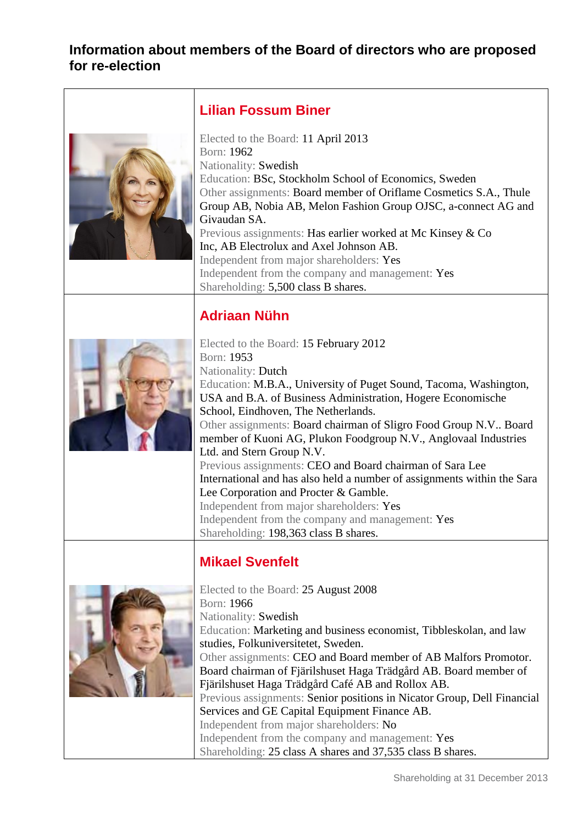# **Information about members of the Board of directors who are proposed for re-election**

| <b>Lilian Fossum Biner</b>                                                                                                                                                                                                                                                                                                                                                                                                                                                                                                                                                                                                                                                                                                                         |
|----------------------------------------------------------------------------------------------------------------------------------------------------------------------------------------------------------------------------------------------------------------------------------------------------------------------------------------------------------------------------------------------------------------------------------------------------------------------------------------------------------------------------------------------------------------------------------------------------------------------------------------------------------------------------------------------------------------------------------------------------|
| Elected to the Board: 11 April 2013<br>Born: 1962<br>Nationality: Swedish<br>Education: BSc, Stockholm School of Economics, Sweden<br>Other assignments: Board member of Oriflame Cosmetics S.A., Thule<br>Group AB, Nobia AB, Melon Fashion Group OJSC, a-connect AG and<br>Givaudan SA.<br>Previous assignments: Has earlier worked at Mc Kinsey & Co<br>Inc, AB Electrolux and Axel Johnson AB.<br>Independent from major shareholders: Yes<br>Independent from the company and management: Yes<br>Shareholding: 5,500 class B shares.                                                                                                                                                                                                          |
| <b>Adriaan Nühn</b>                                                                                                                                                                                                                                                                                                                                                                                                                                                                                                                                                                                                                                                                                                                                |
| Elected to the Board: 15 February 2012<br>Born: 1953<br>Nationality: Dutch<br>Education: M.B.A., University of Puget Sound, Tacoma, Washington,<br>USA and B.A. of Business Administration, Hogere Economische<br>School, Eindhoven, The Netherlands.<br>Other assignments: Board chairman of Sligro Food Group N.V Board<br>member of Kuoni AG, Plukon Foodgroup N.V., Anglovaal Industries<br>Ltd. and Stern Group N.V.<br>Previous assignments: CEO and Board chairman of Sara Lee<br>International and has also held a number of assignments within the Sara<br>Lee Corporation and Procter & Gamble.<br>Independent from major shareholders: Yes<br>Independent from the company and management: Yes<br>Shareholding: 198,363 class B shares. |
| <b>Mikael Svenfelt</b>                                                                                                                                                                                                                                                                                                                                                                                                                                                                                                                                                                                                                                                                                                                             |
| Elected to the Board: 25 August 2008<br>Born: 1966<br>Nationality: Swedish<br>Education: Marketing and business economist, Tibbleskolan, and law<br>studies, Folkuniversitetet, Sweden.<br>Other assignments: CEO and Board member of AB Malfors Promotor.<br>Board chairman of Fjärilshuset Haga Trädgård AB. Board member of<br>Fjärilshuset Haga Trädgård Café AB and Rollox AB.<br>Previous assignments: Senior positions in Nicator Group, Dell Financial<br>Services and GE Capital Equipment Finance AB.<br>Independent from major shareholders: No<br>Independent from the company and management: Yes                                                                                                                                     |